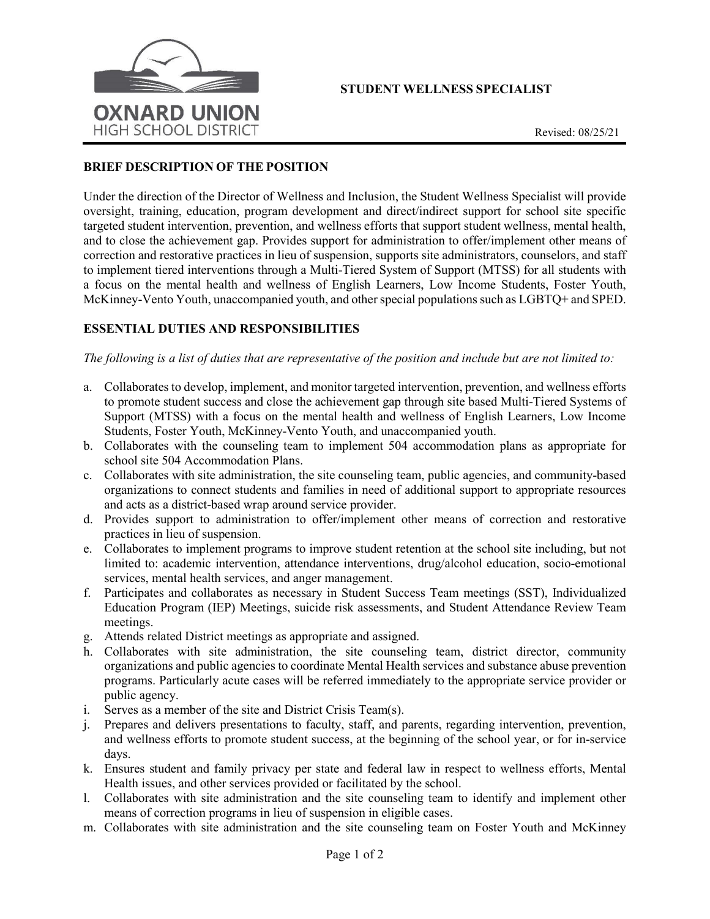

# **STUDENT WELLNESS SPECIALIST**

#### **BRIEF DESCRIPTION OF THE POSITION**

Under the direction of the Director of Wellness and Inclusion, the Student Wellness Specialist will provide oversight, training, education, program development and direct/indirect support for school site specific targeted student intervention, prevention, and wellness efforts that support student wellness, mental health, and to close the achievement gap. Provides support for administration to offer/implement other means of correction and restorative practices in lieu of suspension, supports site administrators, counselors, and staff to implement tiered interventions through a Multi-Tiered System of Support (MTSS) for all students with a focus on the mental health and wellness of English Learners, Low Income Students, Foster Youth, McKinney-Vento Youth, unaccompanied youth, and other special populations such as LGBTQ+ and SPED.

## **ESSENTIAL DUTIES AND RESPONSIBILITIES**

#### *The following is a list of duties that are representative of the position and include but are not limited to:*

- a. Collaborates to develop, implement, and monitor targeted intervention, prevention, and wellness efforts to promote student success and close the achievement gap through site based Multi-Tiered Systems of Support (MTSS) with a focus on the mental health and wellness of English Learners, Low Income Students, Foster Youth, McKinney-Vento Youth, and unaccompanied youth.
- b. Collaborates with the counseling team to implement 504 accommodation plans as appropriate for school site 504 Accommodation Plans.
- c. Collaborates with site administration, the site counseling team, public agencies, and community-based organizations to connect students and families in need of additional support to appropriate resources and acts as a district-based wrap around service provider.
- d. Provides support to administration to offer/implement other means of correction and restorative practices in lieu of suspension.
- e. Collaborates to implement programs to improve student retention at the school site including, but not limited to: academic intervention, attendance interventions, drug/alcohol education, socio-emotional services, mental health services, and anger management.
- f. Participates and collaborates as necessary in Student Success Team meetings (SST), Individualized Education Program (IEP) Meetings, suicide risk assessments, and Student Attendance Review Team meetings.
- g. Attends related District meetings as appropriate and assigned.
- h. Collaborates with site administration, the site counseling team, district director, community organizations and public agencies to coordinate Mental Health services and substance abuse prevention programs. Particularly acute cases will be referred immediately to the appropriate service provider or public agency.
- i. Serves as a member of the site and District Crisis Team(s).
- j. Prepares and delivers presentations to faculty, staff, and parents, regarding intervention, prevention, and wellness efforts to promote student success, at the beginning of the school year, or for in-service days.
- k. Ensures student and family privacy per state and federal law in respect to wellness efforts, Mental Health issues, and other services provided or facilitated by the school.
- l. Collaborates with site administration and the site counseling team to identify and implement other means of correction programs in lieu of suspension in eligible cases.
- m. Collaborates with site administration and the site counseling team on Foster Youth and McKinney